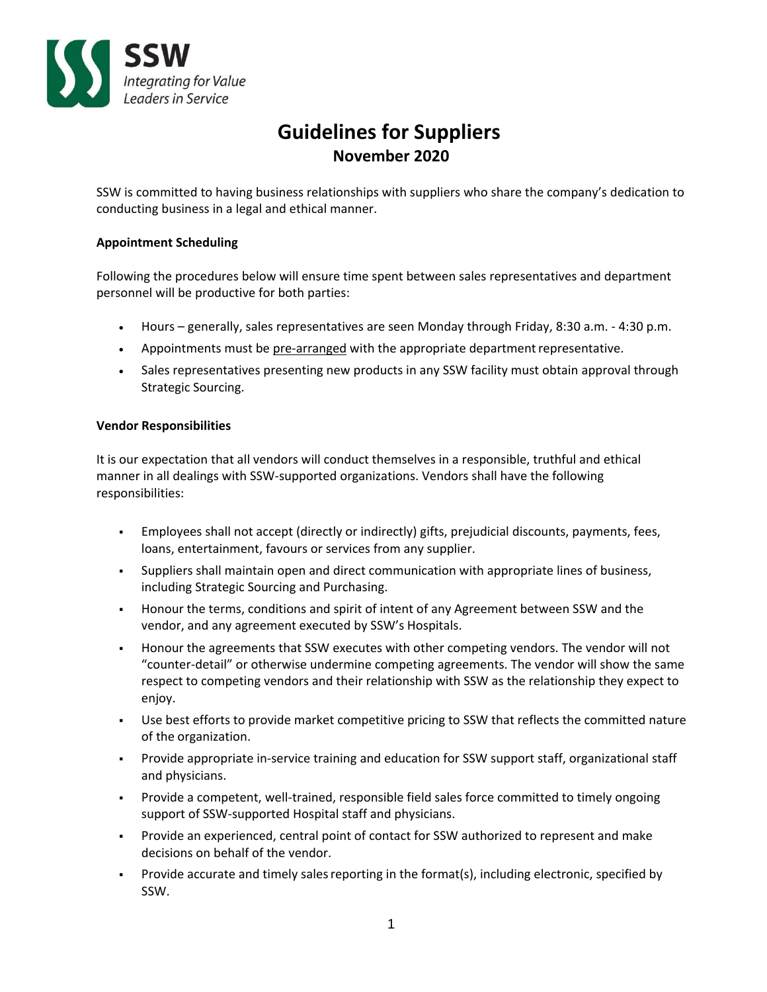

# **Guidelines for Suppliers November 2020**

SSW is committed to having business relationships with suppliers who share the company's dedication to conducting business in a legal and ethical manner.

# **Appointment Scheduling**

Following the procedures below will ensure time spent between sales representatives and department personnel will be productive for both parties:

- Hours generally, sales representatives are seen Monday through Friday, 8:30 a.m. ‐ 4:30 p.m.
- Appointments must be pre-arranged with the appropriate department representative.
- Sales representatives presenting new products in any SSW facility must obtain approval through Strategic Sourcing.

## **Vendor Responsibilities**

It is our expectation that all vendors will conduct themselves in a responsible, truthful and ethical manner in all dealings with SSW‐supported organizations. Vendors shall have the following responsibilities:

- Employees shall not accept (directly or indirectly) gifts, prejudicial discounts, payments, fees, loans, entertainment, favours or services from any supplier.
- Suppliers shall maintain open and direct communication with appropriate lines of business, including Strategic Sourcing and Purchasing.
- Honour the terms, conditions and spirit of intent of any Agreement between SSW and the vendor, and any agreement executed by SSW's Hospitals.
- Honour the agreements that SSW executes with other competing vendors. The vendor will not "counter‐detail" or otherwise undermine competing agreements. The vendor will show the same respect to competing vendors and their relationship with SSW as the relationship they expect to enjoy.
- Use best efforts to provide market competitive pricing to SSW that reflects the committed nature of the organization.
- Provide appropriate in‐service training and education for SSW support staff, organizational staff and physicians.
- Provide a competent, well-trained, responsible field sales force committed to timely ongoing support of SSW‐supported Hospital staff and physicians.
- Provide an experienced, central point of contact for SSW authorized to represent and make decisions on behalf of the vendor.
- Provide accurate and timely sales reporting in the format(s), including electronic, specified by SSW.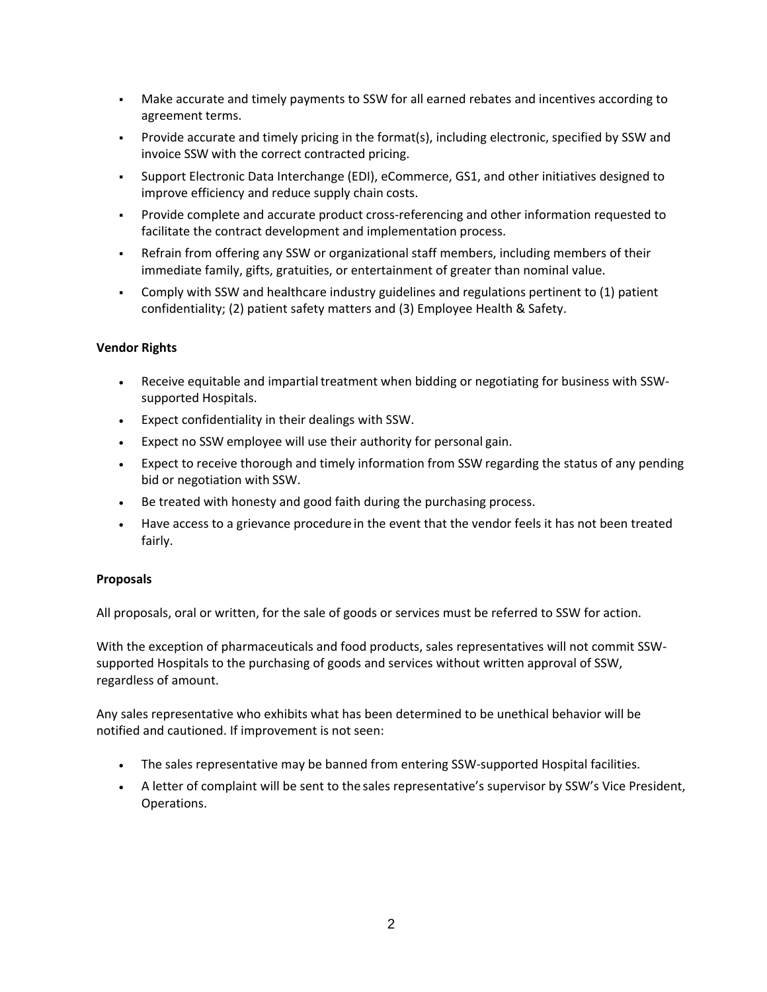- Make accurate and timely payments to SSW for all earned rebates and incentives according to agreement terms.
- Provide accurate and timely pricing in the format(s), including electronic, specified by SSW and invoice SSW with the correct contracted pricing.
- Support Electronic Data Interchange (EDI), eCommerce, GS1, and other initiatives designed to improve efficiency and reduce supply chain costs.
- Provide complete and accurate product cross‐referencing and other information requested to facilitate the contract development and implementation process.
- Refrain from offering any SSW or organizational staff members, including members of their immediate family, gifts, gratuities, or entertainment of greater than nominal value.
- Comply with SSW and healthcare industry guidelines and regulations pertinent to (1) patient confidentiality; (2) patient safety matters and (3) Employee Health & Safety.

# **Vendor Rights**

- Receive equitable and impartial treatment when bidding or negotiating for business with SSWsupported Hospitals.
- Expect confidentiality in their dealings with SSW.
- Expect no SSW employee will use their authority for personal gain.
- Expect to receive thorough and timely information from SSW regarding the status of any pending bid or negotiation with SSW.
- Be treated with honesty and good faith during the purchasing process.
- Have access to a grievance procedure in the event that the vendor feels it has not been treated fairly.

## **Proposals**

All proposals, oral or written, for the sale of goods or services must be referred to SSW for action.

With the exception of pharmaceuticals and food products, sales representatives will not commit SSWsupported Hospitals to the purchasing of goods and services without written approval of SSW, regardless of amount.

Any sales representative who exhibits what has been determined to be unethical behavior will be notified and cautioned. If improvement is not seen:

- The sales representative may be banned from entering SSW-supported Hospital facilities.
- A letter of complaint will be sent to the sales representative's supervisor by SSW's Vice President, Operations.